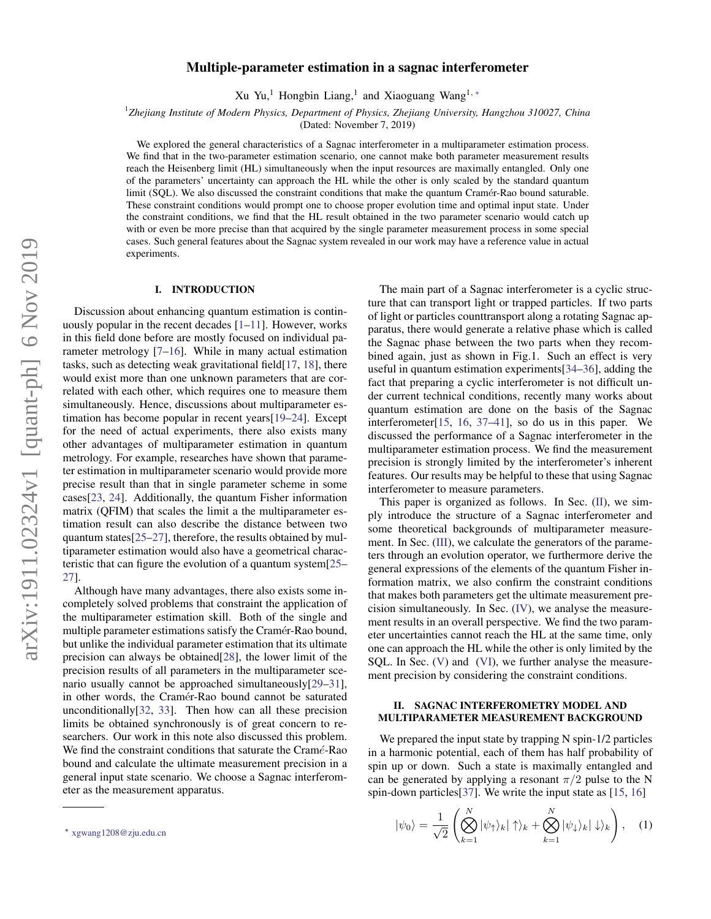# Multiple-parameter estimation in a sagnac interferometer

Xu Yu,<sup>1</sup> Hongbin Liang,<sup>1</sup> and Xiaoguang Wang<sup>1,\*</sup>

1 *Zhejiang Institute of Modern Physics, Department of Physics, Zhejiang University, Hangzhou 310027, China*

(Dated: November 7, 2019)

We explored the general characteristics of a Sagnac interferometer in a multiparameter estimation process. We find that in the two-parameter estimation scenario, one cannot make both parameter measurement results reach the Heisenberg limit (HL) simultaneously when the input resources are maximally entangled. Only one of the parameters' uncertainty can approach the HL while the other is only scaled by the standard quantum limit (SQL). We also discussed the constraint conditions that make the quantum Cramér-Rao bound saturable. These constraint conditions would prompt one to choose proper evolution time and optimal input state. Under the constraint conditions, we find that the HL result obtained in the two parameter scenario would catch up with or even be more precise than that acquired by the single parameter measurement process in some special cases. Such general features about the Sagnac system revealed in our work may have a reference value in actual experiments.

#### I. INTRODUCTION

Discussion about enhancing quantum estimation is continuously popular in the recent decades  $[1-11]$  $[1-11]$ . However, works in this field done before are mostly focused on individual parameter metrology [\[7](#page-7-1)[–16\]](#page-7-2). While in many actual estimation tasks, such as detecting weak gravitational field[\[17,](#page-7-3) [18\]](#page-7-4), there would exist more than one unknown parameters that are correlated with each other, which requires one to measure them simultaneously. Hence, discussions about multiparameter estimation has become popular in recent years[\[19](#page-7-5)[–24\]](#page-7-6). Except for the need of actual experiments, there also exists many other advantages of multiparameter estimation in quantum metrology. For example, researches have shown that parameter estimation in multiparameter scenario would provide more precise result than that in single parameter scheme in some cases[\[23,](#page-7-7) [24\]](#page-7-6). Additionally, the quantum Fisher information matrix (QFIM) that scales the limit a the multiparameter estimation result can also describe the distance between two quantum states[\[25](#page-7-8)[–27\]](#page-7-9), therefore, the results obtained by multiparameter estimation would also have a geometrical characteristic that can figure the evolution of a quantum system[\[25–](#page-7-8) [27\]](#page-7-9).

Although have many advantages, there also exists some incompletely solved problems that constraint the application of the multiparameter estimation skill. Both of the single and multiple parameter estimations satisfy the Cramér-Rao bound, but unlike the individual parameter estimation that its ultimate precision can always be obtained[\[28\]](#page-7-10), the lower limit of the precision results of all parameters in the multiparameter scenario usually cannot be approached simultaneously[\[29](#page-7-11)[–31\]](#page-7-12), in other words, the Cramér-Rao bound cannot be saturated unconditionally[\[32,](#page-7-13) [33\]](#page-7-14). Then how can all these precision limits be obtained synchronously is of great concern to researchers. Our work in this note also discussed this problem. We find the constraint conditions that saturate the Cramé-Rao bound and calculate the ultimate measurement precision in a general input state scenario. We choose a Sagnac interferometer as the measurement apparatus.

The main part of a Sagnac interferometer is a cyclic structure that can transport light or trapped particles. If two parts of light or particles counttransport along a rotating Sagnac apparatus, there would generate a relative phase which is called the Sagnac phase between the two parts when they recombined again, just as shown in Fig.1. Such an effect is very useful in quantum estimation experiments[\[34](#page-7-15)[–36\]](#page-7-16), adding the fact that preparing a cyclic interferometer is not difficult under current technical conditions, recently many works about quantum estimation are done on the basis of the Sagnac interferometer[\[15,](#page-7-17) [16,](#page-7-2) [37–](#page-7-18)[41\]](#page-7-19), so do us in this paper. We discussed the performance of a Sagnac interferometer in the multiparameter estimation process. We find the measurement precision is strongly limited by the interferometer's inherent features. Our results may be helpful to these that using Sagnac interferometer to measure parameters.

This paper is organized as follows. In Sec.  $(II)$ , we simply introduce the structure of a Sagnac interferometer and some theoretical backgrounds of multiparameter measurement. In Sec. *[\(III\)](#page-2-0)*, we calculate the generators of the parameters through an evolution operator, we furthermore derive the general expressions of the elements of the quantum Fisher information matrix, we also confirm the constraint conditions that makes both parameters get the ultimate measurement precision simultaneously. In Sec. [\(IV\)](#page-2-1), we analyse the measurement results in an overall perspective. We find the two parameter uncertainties cannot reach the HL at the same time, only one can approach the HL while the other is only limited by the SQL. In Sec. [\(V\)](#page-3-0) and [\(VI\)](#page-5-0), we further analyse the measurement precision by considering the constraint conditions.

## <span id="page-0-1"></span>II. SAGNAC INTERFEROMETRY MODEL AND MULTIPARAMETER MEASUREMENT BACKGROUND

We prepared the input state by trapping N spin-1/2 particles in a harmonic potential, each of them has half probability of spin up or down. Such a state is maximally entangled and can be generated by applying a resonant  $\pi/2$  pulse to the N spin-down particles [\[37\]](#page-7-18). We write the input state as [\[15,](#page-7-17) [16\]](#page-7-2)

<span id="page-0-2"></span>
$$
|\psi_0\rangle = \frac{1}{\sqrt{2}} \left( \bigotimes_{k=1}^N |\psi_\uparrow\rangle_k | \uparrow \rangle_k + \bigotimes_{k=1}^N |\psi_\downarrow\rangle_k | \downarrow \rangle_k \right), \quad (1)
$$

<span id="page-0-0"></span><sup>∗</sup> [xgwang1208@zju.edu.cn](mailto:xgwang1208@zju.edu.cn)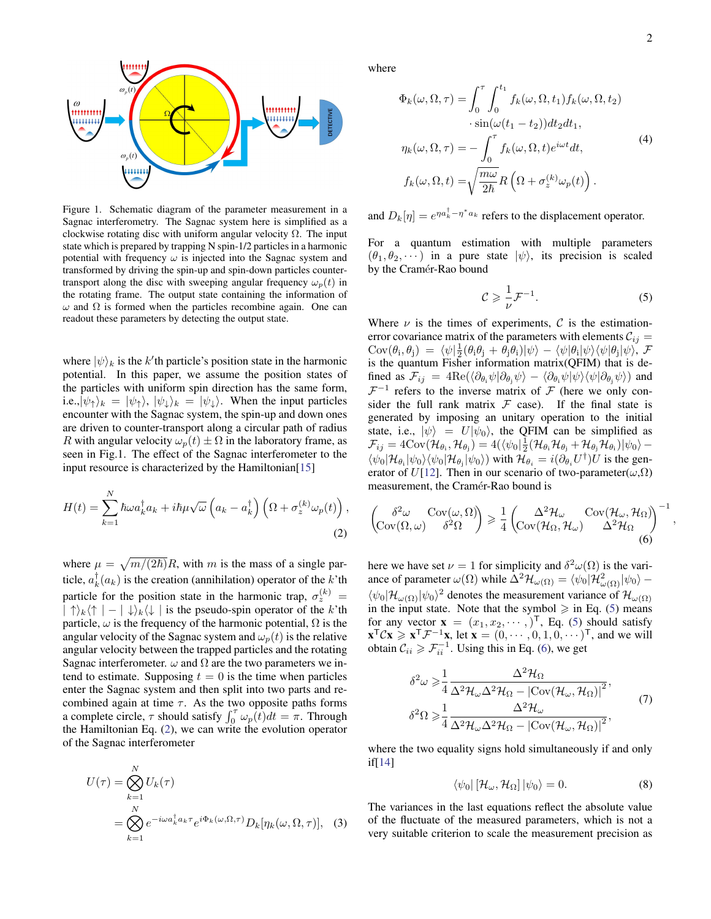<span id="page-1-6"></span>,



Figure 1. Schematic diagram of the parameter measurement in a Sagnac interferometry. The Sagnac system here is simplified as a clockwise rotating disc with uniform angular velocity  $\Omega$ . The input state which is prepared by trapping N spin-1/2 particles in a harmonic potential with frequency  $\omega$  is injected into the Sagnac system and transformed by driving the spin-up and spin-down particles countertransport along the disc with sweeping angular frequency  $\omega_p(t)$  in the rotating frame. The output state containing the information of  $ω$  and  $Ω$  is formed when the particles recombine again. One can readout these parameters by detecting the output state.

where  $|\psi\rangle_k$  is the k'th particle's position state in the harmonic potential. In this paper, we assume the position states of the particles with uniform spin direction has the same form, i.e., $|\psi_{\uparrow}\rangle_k = |\psi_{\uparrow}\rangle$ ,  $|\psi_{\downarrow}\rangle_k = |\psi_{\downarrow}\rangle$ . When the input particles encounter with the Sagnac system, the spin-up and down ones are driven to counter-transport along a circular path of radius R with angular velocity  $\omega_p(t) \pm \Omega$  in the laboratory frame, as seen in Fig.1. The effect of the Sagnac interferometer to the input resource is characterized by the Hamiltonian[\[15\]](#page-7-17)

$$
H(t) = \sum_{k=1}^{N} \hbar \omega a_k^{\dagger} a_k + i \hbar \mu \sqrt{\omega} \left( a_k - a_k^{\dagger} \right) \left( \Omega + \sigma_z^{(k)} \omega_p(t) \right),
$$
\n(2)

where  $\mu = \sqrt{m/(2\hbar)}R$ , with m is the mass of a single particle,  $a_k^{\dagger}(a_k)$  is the creation (annihilation) operator of the k'th particle for the position state in the harmonic trap,  $\sigma_z^{(k)}$  =  $|\uparrow\rangle_k\langle\uparrow| - |\downarrow\rangle_k\langle\downarrow|$  is the pseudo-spin operator of the k'th particle,  $\omega$  is the frequency of the harmonic potential,  $\Omega$  is the angular velocity of the Sagnac system and  $\omega_p(t)$  is the relative angular velocity between the trapped particles and the rotating Sagnac interferometer.  $\omega$  and  $\Omega$  are the two parameters we intend to estimate. Supposing  $t = 0$  is the time when particles enter the Sagnac system and then split into two parts and recombined again at time  $\tau$ . As the two opposite paths forms a complete circle,  $\tau$  should satisfy  $\int_0^{\tau} \omega_p(t) dt = \pi$ . Through the Hamiltonian Eq. [\(2\)](#page-1-0), we can write the evolution operator of the Sagnac interferometer

<span id="page-1-3"></span>
$$
U(\tau) = \bigotimes_{k=1}^{N} U_k(\tau)
$$
  
= 
$$
\bigotimes_{k=1}^{N} e^{-i\omega a_k^{\dagger} a_k \tau} e^{i\Phi_k(\omega,\Omega,\tau)} D_k[\eta_k(\omega,\Omega,\tau)],
$$
 (3)

where

$$
\Phi_k(\omega, \Omega, \tau) = \int_0^{\tau} \int_0^{t_1} f_k(\omega, \Omega, t_1) f_k(\omega, \Omega, t_2) \n\cdot \sin(\omega(t_1 - t_2)) dt_2 dt_1, \n\eta_k(\omega, \Omega, \tau) = -\int_0^{\tau} f_k(\omega, \Omega, t) e^{i\omega t} dt, \nf_k(\omega, \Omega, t) = \sqrt{\frac{m\omega}{2\hbar}} R\left(\Omega + \sigma_z^{(k)} \omega_p(t)\right).
$$
\n(4)

and  $D_k[\eta] = e^{\eta a_k^{\dagger} - \eta^* a_k}$  refers to the displacement operator.

For a quantum estimation with multiple parameters  $(\theta_1, \theta_2, \dots)$  in a pure state  $|\psi\rangle$ , its precision is scaled by the Cramér-Rao bound

<span id="page-1-5"></span><span id="page-1-1"></span>
$$
\mathcal{C} \geqslant \frac{1}{\nu} \mathcal{F}^{-1}.\tag{5}
$$

Where  $\nu$  is the times of experiments, C is the estimationerror covariance matrix of the parameters with elements  $C_{ij} =$  $\text{Cov}(\theta_i, \theta_j) \ = \ \langle \psi | \frac{1}{2} (\theta_i \theta_j + \theta_j \theta_i) | \psi \rangle - \langle \psi | \theta_i | \psi \rangle \langle \psi | \theta_j | \psi \rangle, \ \mathcal{F}$ is the quantum Fisher information matrix(QFIM) that is defined as  $\mathcal{F}_{ij} = 4\text{Re}(\langle \partial_{\theta_i}\psi | \partial_{\theta_i}\psi \rangle - \langle \partial_{\theta_i}\psi | \psi \rangle \langle \psi | \partial_{\theta_i}\psi \rangle)$  and  $\mathcal{F}^{-1}$  refers to the inverse matrix of  $\mathcal F$  (here we only consider the full rank matrix  $F$  case). If the final state is generated by imposing an unitary operation to the initial state, i.e.,  $|\psi\rangle = U|\psi_0\rangle$ , the QFIM can be simplified as  $\mathcal{F}_{ij} = 4 \text{Cov}(\mathcal{H}_{\theta_i}, \mathcal{H}_{\theta_j}) = 4 (\langle \psi_0 | \frac{1}{2} (\mathcal{H}_{\theta_i} \mathcal{H}_{\theta_j} + \mathcal{H}_{\theta_j} \mathcal{H}_{\theta_i}) | \psi_0 \rangle \langle \psi_0 | \mathcal{H}_{\theta_i} | \psi_0 \rangle \langle \psi_0 | \mathcal{H}_{\theta_i} | \psi_0 \rangle$  with  $\mathcal{H}_{\theta_i} = i(\partial_{\theta_i} U^{\dagger}) U$  is the gen-erator of U[\[12\]](#page-7-20). Then in our scenario of two-parameter( $\omega$ , $\Omega$ ) measurement, the Cramér-Rao bound is

<span id="page-1-2"></span><span id="page-1-0"></span>
$$
\begin{pmatrix}\n\delta^2 \omega & \text{Cov}(\omega, \Omega) \\
\text{Cov}(\Omega, \omega) & \delta^2 \Omega\n\end{pmatrix} \geq \frac{1}{4} \begin{pmatrix}\n\Delta^2 \mathcal{H}_{\omega} & \text{Cov}(\mathcal{H}_{\omega}, \mathcal{H}_{\Omega}) \\
\text{Cov}(\mathcal{H}_{\Omega}, \mathcal{H}_{\omega}) & \Delta^2 \mathcal{H}_{\Omega}\n\end{pmatrix}^{-1}
$$
\n(6)

here we have set  $\nu = 1$  for simplicity and  $\delta^2 \omega(\Omega)$  is the variance of parameter  $\omega(\Omega)$  while  $\Delta^2 \mathcal{H}_{\omega(\Omega)} = \langle \psi_0 | \mathcal{H}_{\omega(\Omega)}^2 | \psi_0 \rangle \langle \psi_0 | \mathcal{H}_{\omega(\Omega)} | \psi_0 \rangle^2$  denotes the measurement variance of  $\mathcal{H}_{\omega(\Omega)}$ in the input state. Note that the symbol  $\geq$  in Eq. [\(5\)](#page-1-1) means for any vector  $\mathbf{x} = (x_1, x_2, \dots, )^T$ , Eq. [\(5\)](#page-1-1) should satisfy  $\mathbf{x}^\mathsf{T} C \mathbf{x} \geq \mathbf{x}^\mathsf{T} \mathcal{F}^{-1} \mathbf{x}$ , let  $\mathbf{x} = (0, \cdots, 0, 1, 0, \cdots)^\mathsf{T}$ , and we will obtain  $C_{ii} \ge T_{ii}^{-1}$ . Using this in Eq. [\(6\)](#page-1-2), we get

$$
\delta^2 \omega \geq \frac{1}{4} \frac{\Delta^2 \mathcal{H}_{\Omega}}{\Delta^2 \mathcal{H}_{\omega} \Delta^2 \mathcal{H}_{\Omega} - |\text{Cov}(\mathcal{H}_{\omega}, \mathcal{H}_{\Omega})|^2},
$$
  

$$
\delta^2 \Omega \geq \frac{1}{4} \frac{\Delta^2 \mathcal{H}_{\omega}}{\Delta^2 \mathcal{H}_{\omega} \Delta^2 \mathcal{H}_{\Omega} - |\text{Cov}(\mathcal{H}_{\omega}, \mathcal{H}_{\Omega})|^2},
$$
(7)

where the two equality signs hold simultaneously if and only if[\[14\]](#page-7-21)

<span id="page-1-4"></span>
$$
\langle \psi_0 | \left[ \mathcal{H}_{\omega}, \mathcal{H}_{\Omega} \right] | \psi_0 \rangle = 0. \tag{8}
$$

The variances in the last equations reflect the absolute value of the fluctuate of the measured parameters, which is not a very suitable criterion to scale the measurement precision as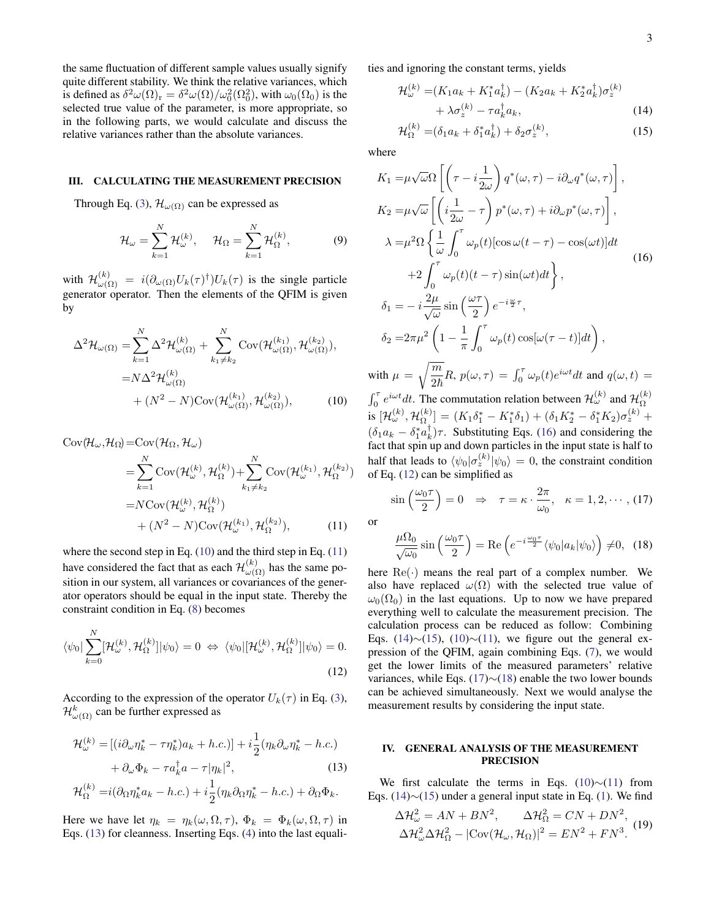the same fluctuation of different sample values usually signify quite different stability. We think the relative variances, which is defined as  $\delta^2 \omega(\Omega)_{\rm r} = \delta^2 \omega(\Omega) / \omega_0^2(\Omega_0^2)$ , with  $\omega_0(\Omega_0)$  is the selected true value of the parameter, is more appropriate, so in the following parts, we would calculate and discuss the relative variances rather than the absolute variances.

## <span id="page-2-0"></span>III. CALCULATING THE MEASUREMENT PRECISION

Through Eq. [\(3\)](#page-1-3),  $\mathcal{H}_{\omega(\Omega)}$  can be expressed as

$$
\mathcal{H}_{\omega} = \sum_{k=1}^{N} \mathcal{H}_{\omega}^{(k)}, \quad \mathcal{H}_{\Omega} = \sum_{k=1}^{N} \mathcal{H}_{\Omega}^{(k)}, \tag{9}
$$

with  $\mathcal{H}^{(k)}_{\omega(\Omega)} = i(\partial_{\omega(\Omega)}U_k(\tau)^{\dagger})U_k(\tau)$  is the single particle generator operator. Then the elements of the QFIM is given by

$$
\Delta^2 \mathcal{H}_{\omega(\Omega)} = \sum_{k=1}^N \Delta^2 \mathcal{H}_{\omega(\Omega)}^{(k)} + \sum_{k_1 \neq k_2}^N \text{Cov}(\mathcal{H}_{\omega(\Omega)}^{(k_1)}, \mathcal{H}_{\omega(\Omega)}^{(k_2)}),
$$

$$
= N \Delta^2 \mathcal{H}_{\omega(\Omega)}^{(k)}
$$

$$
+ (N^2 - N) \text{Cov}(\mathcal{H}_{\omega(\Omega)}^{(k_1)}, \mathcal{H}_{\omega(\Omega)}^{(k_2)}),
$$
(10)

$$
Cov(\mathcal{H}_{\omega}, \mathcal{H}_{\Omega}) = Cov(\mathcal{H}_{\Omega}, \mathcal{H}_{\omega})
$$
  
\n
$$
= \sum_{k=1}^{N} Cov(\mathcal{H}_{\omega}^{(k)}, \mathcal{H}_{\Omega}^{(k)}) + \sum_{k_1 \neq k_2}^{N} Cov(\mathcal{H}_{\omega}^{(k_1)}, \mathcal{H}_{\Omega}^{(k_2)})
$$
  
\n
$$
= NCov(\mathcal{H}_{\omega}^{(k)}, \mathcal{H}_{\Omega}^{(k)})
$$
  
\n
$$
+ (N^2 - N)Cov(\mathcal{H}_{\omega}^{(k_1)}, \mathcal{H}_{\Omega}^{(k_2)}),
$$
 (11)

where the second step in Eq. [\(10\)](#page-2-2) and the third step in Eq. [\(11\)](#page-2-3) have considered the fact that as each  $\mathcal{H}^{(k)}_{\omega(\Omega)}$  has the same position in our system, all variances or covariances of the generator operators should be equal in the input state. Thereby the constraint condition in Eq. [\(8\)](#page-1-4) becomes

$$
\langle \psi_0 | \sum_{k=0}^N [\mathcal{H}_{\omega}^{(k)}, \mathcal{H}_{\Omega}^{(k)}] | \psi_0 \rangle = 0 \Leftrightarrow \langle \psi_0 | [\mathcal{H}_{\omega}^{(k)}, \mathcal{H}_{\Omega}^{(k)}] | \psi_0 \rangle = 0.
$$
\n(12)

According to the expression of the operator  $U_k(\tau)$  in Eq. [\(3\)](#page-1-3),  $\mathcal{H}^k_{\omega(\Omega)}$  can be further expressed as

$$
\mathcal{H}_{\omega}^{(k)} = \left[ (i\partial_{\omega}\eta_k^* - \tau\eta_k^*)a_k + h.c. \right] + i\frac{1}{2}(\eta_k\partial_{\omega}\eta_k^* - h.c.)
$$

$$
+ \partial_{\omega}\Phi_k - \tau a_k^{\dagger}a - \tau|\eta_k|^2, \tag{13}
$$

<span id="page-2-4"></span>
$$
\mathcal{H}_{\Omega}^{(k)} = i(\partial_{\Omega} \eta_k^* a_k - h.c.) + i \frac{1}{2} (\eta_k \partial_{\Omega} \eta_k^* - h.c.) + \partial_{\Omega} \Phi_k.
$$

Here we have let  $\eta_k = \eta_k(\omega, \Omega, \tau)$ ,  $\Phi_k = \Phi_k(\omega, \Omega, \tau)$  in Eqs. [\(13\)](#page-2-4) for cleanness. Inserting Eqs. [\(4\)](#page-1-5) into the last equalities and ignoring the constant terms, yields

$$
\mathcal{H}_{\omega}^{(k)} = (K_1 a_k + K_1^* a_k^{\dagger}) - (K_2 a_k + K_2^* a_k^{\dagger}) \sigma_z^{(k)} + \lambda \sigma_z^{(k)} - \tau a_k^{\dagger} a_k,
$$
\n(14)

<span id="page-2-8"></span><span id="page-2-7"></span><span id="page-2-5"></span>
$$
\mathcal{H}_{\Omega}^{(k)} = (\delta_1 a_k + \delta_1^* a_k^{\dagger}) + \delta_2 \sigma_z^{(k)},\tag{15}
$$

where

$$
K_{1} = \mu \sqrt{\omega} \Omega \left[ \left( \tau - i \frac{1}{2\omega} \right) q^{*}(\omega, \tau) - i \partial_{\omega} q^{*}(\omega, \tau) \right],
$$
  
\n
$$
K_{2} = \mu \sqrt{\omega} \left[ \left( i \frac{1}{2\omega} - \tau \right) p^{*}(\omega, \tau) + i \partial_{\omega} p^{*}(\omega, \tau) \right],
$$
  
\n
$$
\lambda = \mu^{2} \Omega \left\{ \frac{1}{\omega} \int_{0}^{\tau} \omega_{p}(t) [\cos \omega(t - \tau) - \cos(\omega t)] dt + 2 \int_{0}^{\tau} \omega_{p}(t) (t - \tau) \sin(\omega t) dt \right\},
$$
  
\n
$$
\delta_{1} = -i \frac{2\mu}{\sqrt{\omega}} \sin \left( \frac{\omega \tau}{2} \right) e^{-i \frac{\omega}{2} \tau},
$$
  
\n
$$
\delta_{2} = 2\pi \mu^{2} \left( 1 - \frac{1}{\pi} \int_{0}^{\tau} \omega_{p}(t) \cos[\omega(\tau - t)] dt \right),
$$
  
\nwith  $\mu = \sqrt{\frac{m}{2\hbar}} R, p(\omega, \tau) = \int_{0}^{\tau} \omega_{p}(t) e^{i\omega t} dt$  and  $q(\omega, t) =$   
\n
$$
\int_{0}^{\tau} e^{i\omega t} dt
$$
. The commutation relation between  $\mathcal{H}_{\omega}^{(k)}$  and  $\mathcal{H}_{\Omega}^{(k)}$  is  $[\mathcal{H}_{\omega}^{(k)}, \mathcal{H}_{\Omega}^{(k)}] = (K_{1} \delta_{1}^{*} - K_{1}^{*} \delta_{1}) + (\delta_{1} K_{2}^{*} - \delta_{1}^{*} K_{2}) \sigma_{z}^{(k)} + (\delta_{1} a_{k} - \delta_{1}^{*} a_{k}^{\dagger}) \tau$ . Substituting Eqs. (16) and considering the fact that spin up and down particles in the input state is half to half that leads to  $\langle \psi_{0} | \sigma_{z}^{(k)} | \psi_{0} \rangle = 0$ , the constraint condition of Eq. (12) can be simplified as

<span id="page-2-9"></span><span id="page-2-2"></span>
$$
\sin\left(\frac{\omega_0 \tau}{2}\right) = 0 \quad \Rightarrow \quad \tau = \kappa \cdot \frac{2\pi}{\omega_0}, \quad \kappa = 1, 2, \cdots, (17)
$$

<span id="page-2-3"></span>or

<span id="page-2-10"></span>
$$
\frac{\mu\Omega_0}{\sqrt{\omega_0}}\sin\left(\frac{\omega_0\tau}{2}\right) = \text{Re}\left(e^{-i\frac{\omega_0\tau}{2}}\langle\psi_0|a_k|\psi_0\rangle\right) \neq 0, \tag{18}
$$

<span id="page-2-6"></span>here  $\text{Re}(\cdot)$  means the real part of a complex number. We also have replaced  $\omega(\Omega)$  with the selected true value of  $\omega_0(\Omega_0)$  in the last equations. Up to now we have prepared everything well to calculate the measurement precision. The calculation process can be reduced as follow: Combining Eqs. [\(14\)](#page-2-7)∼[\(15\)](#page-2-8), [\(10\)](#page-2-2)∼[\(11\)](#page-2-3), we figure out the general expression of the QFIM, again combining Eqs. [\(7\)](#page-1-6), we would get the lower limits of the measured parameters' relative variances, while Eqs. [\(17\)](#page-2-9)∼[\(18\)](#page-2-10) enable the two lower bounds can be achieved simultaneously. Next we would analyse the measurement results by considering the input state.

## <span id="page-2-1"></span>IV. GENERAL ANALYSIS OF THE MEASUREMENT PRECISION

We first calculate the terms in Eqs.  $(10)~ (11)$  $(10)~ (11)$  $(10)~ (11)$  from Eqs. [\(14\)](#page-2-7)∼[\(15\)](#page-2-8) under a general input state in Eq. [\(1\)](#page-0-2). We find

<span id="page-2-11"></span>
$$
\Delta \mathcal{H}_{\omega}^{2} = AN + BN^{2}, \qquad \Delta \mathcal{H}_{\Omega}^{2} = CN + DN^{2},
$$
  

$$
\Delta \mathcal{H}_{\omega}^{2} \Delta \mathcal{H}_{\Omega}^{2} - |\text{Cov}(\mathcal{H}_{\omega}, \mathcal{H}_{\Omega})|^{2} = EN^{2} + FN^{3}.
$$
 (19)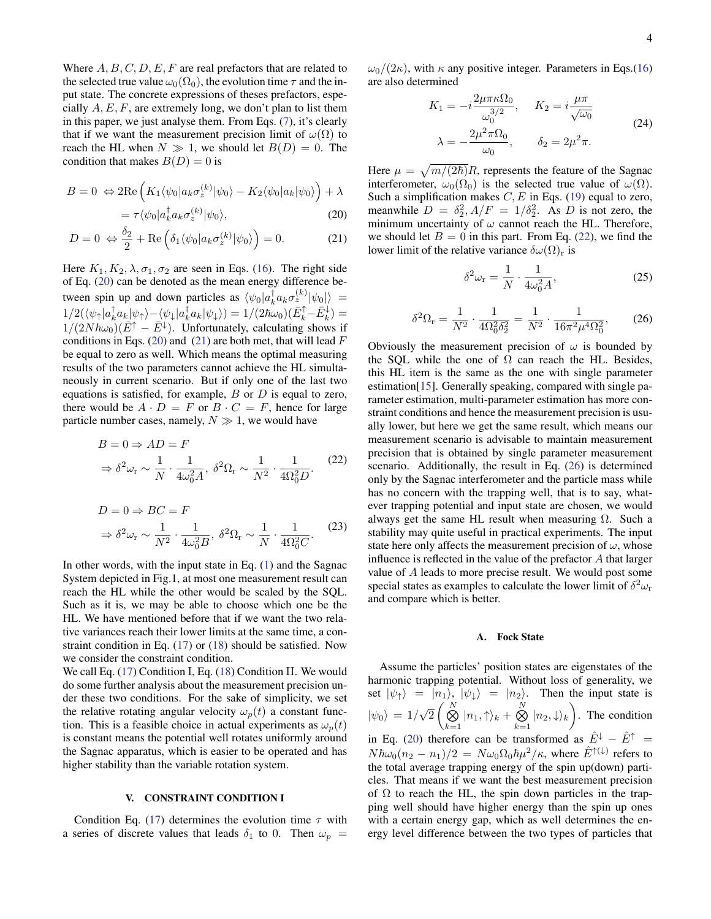Where  $A, B, C, D, E, F$  are real prefactors that are related to the selected true value  $\omega_0(\Omega_0)$ , the evolution time  $\tau$  and the input state. The concrete expressions of theses prefactors, especially  $A, E, F$ , are extremely long, we don't plan to list them in this paper, we just analyse them. From Eqs. [\(7\)](#page-1-6), it's clearly that if we want the measurement precision limit of  $\omega(\Omega)$  to reach the HL when  $N \gg 1$ , we should let  $B(D) = 0$ . The condition that makes  $B(D) = 0$  is

$$
B = 0 \Leftrightarrow 2\text{Re}\left(K_1\langle\psi_0|a_k\sigma_z^{(k)}|\psi_0\rangle - K_2\langle\psi_0|a_k|\psi_0\rangle\right) + \lambda
$$

$$
= \tau \langle \psi_0 | a_k^{\dagger} a_k \sigma_z^{(k)} | \psi_0 \rangle, \tag{20}
$$

$$
D = 0 \Leftrightarrow \frac{\delta_2}{2} + \text{Re}\left(\delta_1 \langle \psi_0 | a_k \sigma_z^{(k)} | \psi_0 \rangle \right) = 0. \tag{21}
$$

Here  $K_1, K_2, \lambda, \sigma_1, \sigma_2$  are seen in Eqs. [\(16\)](#page-2-5). The right side of Eq. [\(20\)](#page-3-1) can be denoted as the mean energy difference between spin up and down particles as  $\langle \psi_0 | a_k^{\dagger} a_k \sigma_z^{(k)} | \psi_0 | \rangle =$  $1/2(\langle\psi_\uparrow|a^\dagger_ka_k|\psi_\uparrow\rangle-\langle\psi_\downarrow|a^\dagger_ka_k|\psi_\downarrow\rangle)=1/(2\hbar\omega_0)(\bar{E}_k^\uparrow-\bar{E}_k^\downarrow)=$  $1/(2N\hbar\omega_0)(\vec{E}^{\uparrow} - \vec{E}^{\downarrow})$ . Unfortunately, calculating shows if conditions in Eqs. [\(20\)](#page-3-1) and [\(21\)](#page-3-2) are both met, that will lead  $F$ be equal to zero as well. Which means the optimal measuring results of the two parameters cannot achieve the HL simultaneously in current scenario. But if only one of the last two equations is satisfied, for example,  $B$  or  $D$  is equal to zero, there would be  $A \cdot D = F$  or  $B \cdot C = F$ , hence for large particle number cases, namely,  $N \gg 1$ , we would have

<span id="page-3-3"></span>
$$
B = 0 \Rightarrow AD = F
$$
  

$$
\Rightarrow \delta^2 \omega_r \sim \frac{1}{N} \cdot \frac{1}{4\omega_0^2 A}, \ \delta^2 \Omega_r \sim \frac{1}{N^2} \cdot \frac{1}{4\Omega_0^2 D}.
$$
 (22)

<span id="page-3-5"></span>
$$
D = 0 \Rightarrow BC = F
$$
  

$$
\Rightarrow \delta^2 \omega_r \sim \frac{1}{N^2} \cdot \frac{1}{4\omega_0^2 B}, \ \delta^2 \Omega_r \sim \frac{1}{N} \cdot \frac{1}{4\Omega_0^2 C}.
$$
 (23)

In other words, with the input state in Eq. [\(1\)](#page-0-2) and the Sagnac System depicted in Fig.1, at most one measurement result can reach the HL while the other would be scaled by the SQL. Such as it is, we may be able to choose which one be the HL. We have mentioned before that if we want the two relative variances reach their lower limits at the same time, a constraint condition in Eq. [\(17\)](#page-2-9) or [\(18\)](#page-2-10) should be satisfied. Now we consider the constraint condition.

We call Eq. [\(17\)](#page-2-9) Condition I, Eq. [\(18\)](#page-2-10) Condition II. We would do some further analysis about the measurement precision under these two conditions. For the sake of simplicity, we set the relative rotating angular velocity  $\omega_p(t)$  a constant function. This is a feasible choice in actual experiments as  $\omega_p(t)$ is constant means the potential well rotates uniformly around the Sagnac apparatus, which is easier to be operated and has higher stability than the variable rotation system.

## <span id="page-3-0"></span>V. CONSTRAINT CONDITION I

Condition Eq. [\(17\)](#page-2-9) determines the evolution time  $\tau$  with a series of discrete values that leads  $\delta_1$  to 0. Then  $\omega_p$  =

 $\omega_0/(2\kappa)$ , with  $\kappa$  any positive integer. Parameters in Eqs.[\(16\)](#page-2-5) are also determined

$$
K_1 = -i\frac{2\mu\pi\kappa\Omega_0}{\omega_0^{3/2}}, \quad K_2 = i\frac{\mu\pi}{\sqrt{\omega_0}}
$$
  

$$
\lambda = -\frac{2\mu^2\pi\Omega_0}{\omega_0}, \qquad \delta_2 = 2\mu^2\pi.
$$
 (24)

<span id="page-3-2"></span><span id="page-3-1"></span>Here  $\mu = \sqrt{m/(2\hbar)}R$ , represents the feature of the Sagnac interferometer,  $\omega_0(\Omega_0)$  is the selected true value of  $\omega(\Omega)$ . Such a simplification makes  $C, E$  in Eqs. [\(19\)](#page-2-11) equal to zero, meanwhile  $D = \delta_2^2$ ,  $A/F = 1/\delta_2^2$ . As D is not zero, the minimum uncertainty of  $\omega$  cannot reach the HL. Therefore, we should let  $B = 0$  in this part. From Eq. [\(22\)](#page-3-3), we find the lower limit of the relative variance  $\delta \omega(\Omega)_{r}$  is

$$
\delta^2 \omega_{\rm r} = \frac{1}{N} \cdot \frac{1}{4\omega_0^2 A},\tag{25}
$$

<span id="page-3-4"></span>
$$
\delta^2 \Omega_r = \frac{1}{N^2} \cdot \frac{1}{4\Omega_0^2 \delta_2^2} = \frac{1}{N^2} \cdot \frac{1}{16\pi^2 \mu^4 \Omega_0^2},\tag{26}
$$

Obviously the measurement precision of  $\omega$  is bounded by the SQL while the one of  $\Omega$  can reach the HL. Besides, this HL item is the same as the one with single parameter estimation[\[15\]](#page-7-17). Generally speaking, compared with single parameter estimation, multi-parameter estimation has more constraint conditions and hence the measurement precision is usually lower, but here we get the same result, which means our measurement scenario is advisable to maintain measurement precision that is obtained by single parameter measurement scenario. Additionally, the result in Eq. [\(26\)](#page-3-4) is determined only by the Sagnac interferometer and the particle mass while has no concern with the trapping well, that is to say, whatever trapping potential and input state are chosen, we would always get the same HL result when measuring  $\Omega$ . Such a stability may quite useful in practical experiments. The input state here only affects the measurement precision of  $\omega$ , whose influence is reflected in the value of the prefactor A that larger value of A leads to more precise result. We would post some special states as examples to calculate the lower limit of  $\delta^2 \omega_r$ and compare which is better.

## A. Fock State

Assume the particles' position states are eigenstates of the harmonic trapping potential. Without loss of generality, we set  $|\psi_{\uparrow}\rangle = |n_1\rangle, |\psi_{\downarrow}\rangle = |n_2\rangle$ . Then the input state is  $|\psi_0\rangle = 1/$ √  $\overline{2} \left(\stackrel{N}{\bigotimes}\right.$  $\bigotimes_{k=1}^N |n_1,\uparrow\rangle_k + \bigotimes_{k=1}^N$  $\bigotimes_{k=1}^N |n_2,\downarrow\rangle_k$ . The condition in Eq. [\(20\)](#page-3-1) therefore can be transformed as  $\hat{E}^{\downarrow} - \hat{E}^{\uparrow}$  $N\hbar\omega_0(n_2-n_1)/2\,=\,N\omega_0\Omega_0\hbar\mu^2/\kappa,$  where  $\hat{E}^{\uparrow(\downarrow)}$  refers to the total average trapping energy of the spin up(down) particles. That means if we want the best measurement precision of  $\Omega$  to reach the HL, the spin down particles in the trapping well should have higher energy than the spin up ones with a certain energy gap, which as well determines the energy level difference between the two types of particles that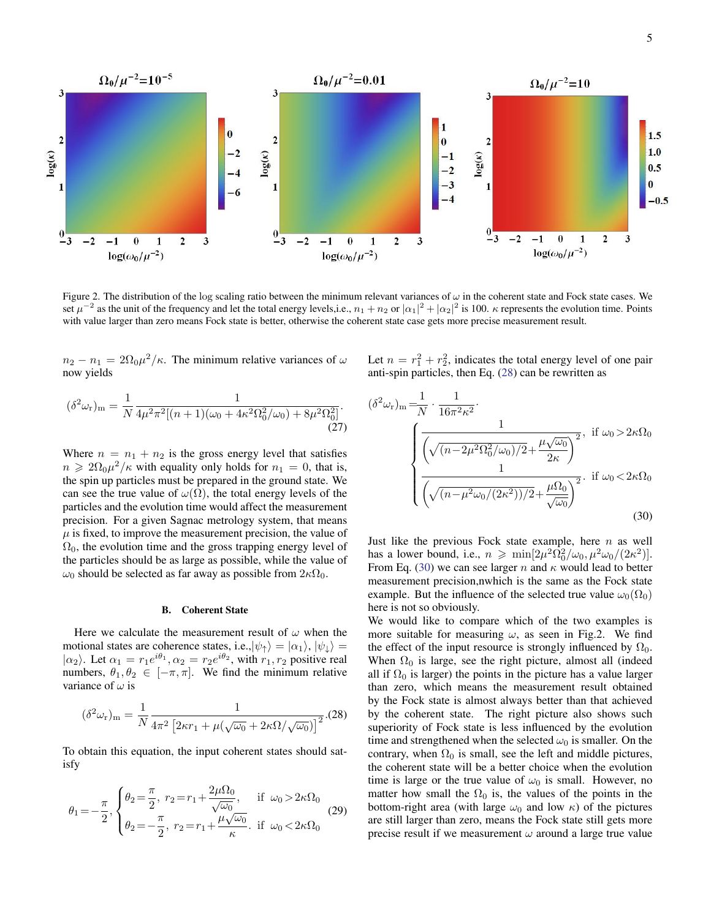

Figure 2. The distribution of the log scaling ratio between the minimum relevant variances of  $\omega$  in the coherent state and Fock state cases. We set  $\mu^{-2}$  as the unit of the frequency and let the total energy levels,i.e.,  $n_1 + n_2$  or  $|\alpha_1|^2 + |\alpha_2|^2$  is 100.  $\kappa$  represents the evolution time. Points with value larger than zero means Fock state is better, otherwise the coherent state case gets more precise measurement result.

 $n_2 - n_1 = 2\Omega_0 \mu^2/\kappa$ . The minimum relative variances of  $\omega$ now yields

$$
(\delta^2 \omega_r)_m = \frac{1}{N} \frac{1}{4\mu^2 \pi^2 [(n+1)(\omega_0 + 4\kappa^2 \Omega_0^2/\omega_0) + 8\mu^2 \Omega_0^2]}.
$$
\n(27)

Where  $n = n_1 + n_2$  is the gross energy level that satisfies  $n \geq 2\Omega_0 \mu^2/\kappa$  with equality only holds for  $n_1 = 0$ , that is, the spin up particles must be prepared in the ground state. We can see the true value of  $\omega(\Omega)$ , the total energy levels of the particles and the evolution time would affect the measurement precision. For a given Sagnac metrology system, that means  $\mu$  is fixed, to improve the measurement precision, the value of  $\Omega_0$ , the evolution time and the gross trapping energy level of the particles should be as large as possible, while the value of  $ω_0$  should be selected as far away as possible from  $2κΩ_0$ .

#### B. Coherent State

Here we calculate the measurement result of  $\omega$  when the motional states are coherence states, i.e., $|\psi_{\uparrow}\rangle = |\alpha_1\rangle, |\psi_{\downarrow}\rangle =$  $|\alpha_2\rangle$ . Let  $\alpha_1 = r_1 e^{i\theta_1}, \alpha_2 = r_2 e^{i\theta_2}$ , with  $r_1, r_2$  positive real numbers,  $\theta_1, \theta_2 \in [-\pi, \pi]$ . We find the minimum relative variance of  $\omega$  is

<span id="page-4-0"></span>
$$
(\delta^2 \omega_r)_m = \frac{1}{N} \frac{1}{4\pi^2 \left[2\kappa r_1 + \mu(\sqrt{\omega_0} + 2\kappa \Omega/\sqrt{\omega_0})\right]^2}.
$$
(28)

To obtain this equation, the input coherent states should satisfy

$$
\theta_1 = -\frac{\pi}{2}, \begin{cases} \theta_2 = \frac{\pi}{2}, \ r_2 = r_1 + \frac{2\mu\Omega_0}{\sqrt{\omega_0}}, & \text{if } \omega_0 > 2\kappa\Omega_0 \\ \theta_2 = -\frac{\pi}{2}, \ r_2 = r_1 + \frac{\mu\sqrt{\omega_0}}{\kappa}. & \text{if } \omega_0 < 2\kappa\Omega_0 \end{cases}
$$
(29)

Let  $n = r_1^2 + r_2^2$ , indicates the total energy level of one pair anti-spin particles, then Eq. [\(28\)](#page-4-0) can be rewritten as

$$
(\delta^2 \omega_r)_m = \frac{1}{N} \cdot \frac{1}{16\pi^2 \kappa^2}.
$$
  

$$
\sqrt{\frac{1}{\left(\sqrt{(n-2\mu^2 \Omega_0^2/\omega_0)/2} + \frac{\mu \sqrt{\omega_0}}{2\kappa}\right)^2}}, \text{ if } \omega_0 > 2\kappa \Omega_0
$$
  

$$
\frac{1}{\left(\sqrt{(n-\mu^2 \omega_0/(2\kappa^2))/2} + \frac{\mu \Omega_0}{\sqrt{\omega_0}}\right)^2}.
$$
if  $\omega_0 < 2\kappa \Omega_0$  (30)

<span id="page-4-1"></span>Just like the previous Fock state example, here  $n$  as well has a lower bound, i.e.,  $n \ge \min[2\mu^2 \Omega_0^2/\omega_0, \mu^2 \omega_0/(2\kappa^2)].$ From Eq. [\(30\)](#page-4-1) we can see larger n and  $\kappa$  would lead to better measurement precision,nwhich is the same as the Fock state example. But the influence of the selected true value  $\omega_0(\Omega_0)$ here is not so obviously.

We would like to compare which of the two examples is more suitable for measuring  $\omega$ , as seen in Fig.2. We find the effect of the input resource is strongly influenced by  $\Omega_0$ . When  $\Omega_0$  is large, see the right picture, almost all (indeed all if  $\Omega_0$  is larger) the points in the picture has a value larger than zero, which means the measurement result obtained by the Fock state is almost always better than that achieved by the coherent state. The right picture also shows such superiority of Fock state is less influenced by the evolution time and strengthened when the selected  $\omega_0$  is smaller. On the contrary, when  $\Omega_0$  is small, see the left and middle pictures, the coherent state will be a better choice when the evolution time is large or the true value of  $\omega_0$  is small. However, no matter how small the  $\Omega_0$  is, the values of the points in the bottom-right area (with large  $\omega_0$  and low  $\kappa$ ) of the pictures are still larger than zero, means the Fock state still gets more precise result if we measurement  $\omega$  around a large true value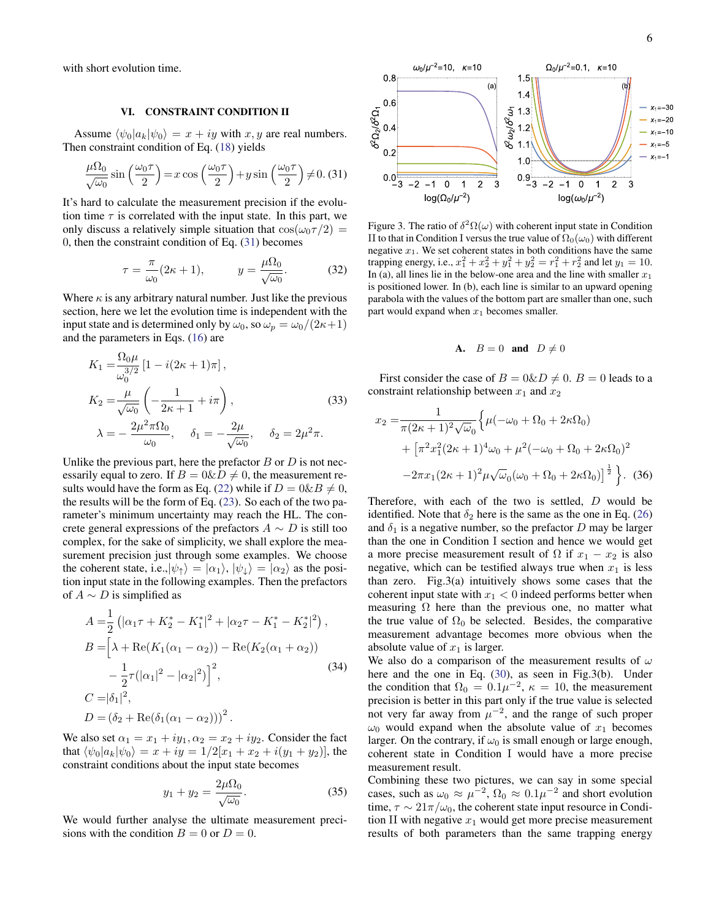with short evolution time.

### <span id="page-5-0"></span>VI. CONSTRAINT CONDITION II

Assume  $\langle \psi_0|a_k|\psi_0\rangle = x + iy$  with x, y are real numbers. Then constraint condition of Eq. [\(18\)](#page-2-10) yields

<span id="page-5-1"></span>
$$
\frac{\mu\Omega_0}{\sqrt{\omega_0}}\sin\left(\frac{\omega_0\tau}{2}\right) = x\cos\left(\frac{\omega_0\tau}{2}\right) + y\sin\left(\frac{\omega_0\tau}{2}\right) \neq 0. (31)
$$

It's hard to calculate the measurement precision if the evolution time  $\tau$  is correlated with the input state. In this part, we only discuss a relatively simple situation that  $\cos(\omega_0 \tau/2)$  = 0, then the constraint condition of Eq. [\(31\)](#page-5-1) becomes

$$
\tau = \frac{\pi}{\omega_0} (2\kappa + 1), \qquad y = \frac{\mu \Omega_0}{\sqrt{\omega_0}}.
$$
 (32)

Where  $\kappa$  is any arbitrary natural number. Just like the previous section, here we let the evolution time is independent with the input state and is determined only by  $\omega_0$ , so  $\omega_p = \omega_0/(2\kappa+1)$ and the parameters in Eqs. [\(16\)](#page-2-5) are

$$
K_1 = \frac{\Omega_0 \mu}{\omega_0^{3/2}} [1 - i(2\kappa + 1)\pi],
$$
  
\n
$$
K_2 = \frac{\mu}{\sqrt{\omega_0}} \left( -\frac{1}{2\kappa + 1} + i\pi \right),
$$
  
\n
$$
\lambda = -\frac{2\mu^2 \pi \Omega_0}{\omega_0}, \quad \delta_1 = -\frac{2\mu}{\sqrt{\omega_0}}, \quad \delta_2 = 2\mu^2 \pi.
$$
\n(33)

Unlike the previous part, here the prefactor  $B$  or  $D$  is not necessarily equal to zero. If  $B = 0 \& D \neq 0$ , the measurement re-sults would have the form as Eq. [\(22\)](#page-3-3) while if  $D = 0 \& B \neq 0$ , the results will be the form of Eq. [\(23\)](#page-3-5). So each of the two parameter's minimum uncertainty may reach the HL. The concrete general expressions of the prefactors  $A \sim D$  is still too complex, for the sake of simplicity, we shall explore the measurement precision just through some examples. We choose the coherent state, i.e., $|\psi_{\uparrow}\rangle = |\alpha_1\rangle, |\psi_{\downarrow}\rangle = |\alpha_2\rangle$  as the position input state in the following examples. Then the prefactors of  $A \sim D$  is simplified as

$$
A = \frac{1}{2} \left( |\alpha_1 \tau + K_2^* - K_1^*|^2 + |\alpha_2 \tau - K_1^* - K_2^*|^2 \right),
$$
  
\n
$$
B = \left[ \lambda + \text{Re}(K_1(\alpha_1 - \alpha_2)) - \text{Re}(K_2(\alpha_1 + \alpha_2)) - \frac{1}{2} \tau (|\alpha_1|^2 - |\alpha_2|^2) \right]^2,
$$
  
\n
$$
C = |\delta_1|^2,
$$
  
\n
$$
D = (\delta_2 + \text{Re}(\delta_1(\alpha_1 - \alpha_2)))^2.
$$
 (34)

We also set  $\alpha_1 = x_1 + iy_1, \alpha_2 = x_2 + iy_2$ . Consider the fact that  $\langle \psi_0 | a_k | \psi_0 \rangle = x + iy = 1/2[x_1 + x_2 + i(y_1 + y_2)]$ , the constraint conditions about the input state becomes

$$
y_1 + y_2 = \frac{2\mu\Omega_0}{\sqrt{\omega_0}}.\t(35)
$$

We would further analyse the ultimate measurement precisions with the condition  $B = 0$  or  $D = 0$ .



Figure 3. The ratio of  $\delta^2 \Omega(\omega)$  with coherent input state in Condition II to that in Condition I versus the true value of  $\Omega_0(\omega_0)$  with different negative  $x_1$ . We set coherent states in both conditions have the same trapping energy, i.e.,  $x_1^2 + x_2^2 + y_1^2 + y_2^2 = r_1^2 + r_2^2$  and let  $y_1 = 10$ . In (a), all lines lie in the below-one area and the line with smaller  $x_1$ is positioned lower. In (b), each line is similar to an upward opening parabola with the values of the bottom part are smaller than one, such part would expand when  $x_1$  becomes smaller.

# A.  $B = 0$  and  $D \neq 0$

First consider the case of  $B = 0 \& D \neq 0$ .  $B = 0$  leads to a constraint relationship between  $x_1$  and  $x_2$ 

$$
x_2 = \frac{1}{\pi (2\kappa + 1)^2 \sqrt{\omega}_0} \left\{ \mu(-\omega_0 + \Omega_0 + 2\kappa \Omega_0) + \left[ \pi^2 x_1^2 (2\kappa + 1)^4 \omega_0 + \mu^2 (-\omega_0 + \Omega_0 + 2\kappa \Omega_0)^2 - 2\pi x_1 (2\kappa + 1)^2 \mu \sqrt{\omega}_0 (\omega_0 + \Omega_0 + 2\kappa \Omega_0) \right]^{\frac{1}{2}} \right\}.
$$
 (36)

Therefore, with each of the two is settled, D would be identified. Note that  $\delta_2$  here is the same as the one in Eq. [\(26\)](#page-3-4) and  $\delta_1$  is a negative number, so the prefactor D may be larger than the one in Condition I section and hence we would get a more precise measurement result of  $\Omega$  if  $x_1 - x_2$  is also negative, which can be testified always true when  $x_1$  is less than zero. Fig.3(a) intuitively shows some cases that the coherent input state with  $x_1 < 0$  indeed performs better when measuring  $\Omega$  here than the previous one, no matter what the true value of  $\Omega_0$  be selected. Besides, the comparative measurement advantage becomes more obvious when the absolute value of  $x_1$  is larger.

We also do a comparison of the measurement results of  $\omega$ here and the one in Eq. [\(30\)](#page-4-1), as seen in Fig.3(b). Under the condition that  $\Omega_0 = 0.1 \mu^{-2}$ ,  $\kappa = 10$ , the measurement precision is better in this part only if the true value is selected not very far away from  $\mu^{-2}$ , and the range of such proper  $\omega_0$  would expand when the absolute value of  $x_1$  becomes larger. On the contrary, if  $\omega_0$  is small enough or large enough, coherent state in Condition I would have a more precise measurement result.

Combining these two pictures, we can say in some special cases, such as  $\omega_0 \approx \mu^{-2}$ ,  $\Omega_0 \approx 0.1 \mu^{-2}$  and short evolution time,  $\tau \sim 21\pi/\omega_0$ , the coherent state input resource in Condition II with negative  $x_1$  would get more precise measurement results of both parameters than the same trapping energy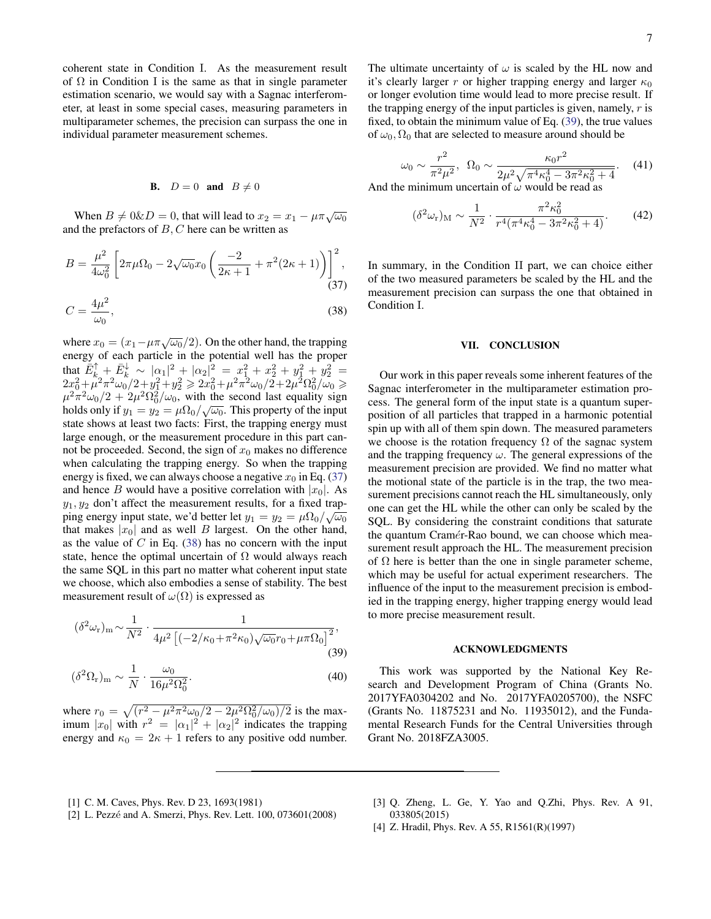coherent state in Condition I. As the measurement result of  $\Omega$  in Condition I is the same as that in single parameter estimation scenario, we would say with a Sagnac interferometer, at least in some special cases, measuring parameters in multiparameter schemes, the precision can surpass the one in individual parameter measurement schemes.

# **B.**  $D = 0$  and  $B \neq 0$

When  $B \neq 0 \& D = 0$ , that will lead to  $x_2 = x_1 - \mu \pi \sqrt{\omega_0}$ and the prefactors of  $B, C$  here can be written as

$$
B = \frac{\mu^2}{4\omega_0^2} \left[ 2\pi\mu\Omega_0 - 2\sqrt{\omega_0}x_0 \left( \frac{-2}{2\kappa + 1} + \pi^2(2\kappa + 1) \right) \right]^2, \tag{37}
$$

$$
C = \frac{4\mu^2}{\omega_0},\tag{38}
$$

where  $x_0 = (x_1 - \mu \pi \sqrt{\omega_0}/2)$ . On the other hand, the trapping energy of each particle in the potential well has the proper that  $\bar{E}_{k}^{\uparrow} + \bar{E}_{k}^{\downarrow} \sim |\alpha_{1}|^{2} + |\alpha_{2}|_{2}^{2} = x_{1}^{2} + x_{2}^{2} + y_{1}^{2} + y_{2}^{2} =$  $2x_0^2 + \hat{\mu}^2 \pi^2 \omega_0^2/2 + y_1^2 + y_2^2 \geqslant 2x_0^2 + \mu^2 \pi^2 \omega_0/2 + 2 \check{\mu}^2 \Omega_0^2 / \check{\omega}_0 \geqslant$  $\mu^2 \pi^2 \omega_0 / 2 + 2\mu^2 \Omega_0^2 / \omega_0$ , with the second last equality sign holds only if  $y_1 = y_2 = \mu \Omega_0 / \sqrt{\omega_0}$ . This property of the input state shows at least two facts: First, the trapping energy must large enough, or the measurement procedure in this part cannot be proceeded. Second, the sign of  $x_0$  makes no difference when calculating the trapping energy. So when the trapping energy is fixed, we can always choose a negative  $x_0$  in Eq. [\(37\)](#page-6-1) and hence B would have a positive correlation with  $|x_0|$ . As  $y_1, y_2$  don't affect the measurement results, for a fixed trapping energy input state, we'd better let  $y_1 = y_2 = \mu \Omega_0 / \sqrt{\omega_0}$ that makes  $|x_0|$  and as well B largest. On the other hand, as the value of  $C$  in Eq. [\(38\)](#page-6-2) has no concern with the input state, hence the optimal uncertain of  $\Omega$  would always reach the same SQL in this part no matter what coherent input state we choose, which also embodies a sense of stability. The best measurement result of  $\omega(\Omega)$  is expressed as

$$
(\delta^2 \omega_r)_{\rm m} \sim \frac{1}{N^2} \cdot \frac{1}{4\mu^2 \left[ (-2/\kappa_0 + \pi^2 \kappa_0) \sqrt{\omega_0} r_0 + \mu \pi \Omega_0 \right]^2},\tag{39}
$$

$$
(\delta^2 \Omega_r)_m \sim \frac{1}{N} \cdot \frac{\omega_0}{16\mu^2 \Omega_0^2}.
$$
\n(40)

where  $r_0 = \sqrt{(r^2 - \mu^2 \pi^2 \omega_0/2 - 2\mu^2 \Omega_0^2/\omega_0)/2}$  is the maximum  $|x_0|$  with  $r^2 = |\alpha_1|^2 + |\alpha_2|^2$  indicates the trapping energy and  $\kappa_0 = 2\kappa + 1$  refers to any positive odd number. The ultimate uncertainty of  $\omega$  is scaled by the HL now and it's clearly larger r or higher trapping energy and larger  $\kappa_0$ or longer evolution time would lead to more precise result. If the trapping energy of the input particles is given, namely,  $r$  is fixed, to obtain the minimum value of Eq. [\(39\)](#page-6-3), the true values of  $\omega_0$ ,  $\Omega_0$  that are selected to measure around should be

$$
\omega_0 \sim \frac{r^2}{\pi^2 \mu^2}, \ \ \Omega_0 \sim \frac{\kappa_0 r^2}{2\mu^2 \sqrt{\pi^4 \kappa_0^4 - 3\pi^2 \kappa_0^2 + 4}}. \tag{41}
$$

And the minimum uncertain of  $\omega$  would be read as

$$
(\delta^2 \omega_r)_{\mathcal{M}} \sim \frac{1}{N^2} \cdot \frac{\pi^2 \kappa_0^2}{r^4 (\pi^4 \kappa_0^4 - 3\pi^2 \kappa_0^2 + 4)}.
$$
 (42)

<span id="page-6-2"></span><span id="page-6-1"></span>In summary, in the Condition II part, we can choice either of the two measured parameters be scaled by the HL and the measurement precision can surpass the one that obtained in Condition I.

### VII. CONCLUSION

Our work in this paper reveals some inherent features of the Sagnac interferometer in the multiparameter estimation process. The general form of the input state is a quantum superposition of all particles that trapped in a harmonic potential spin up with all of them spin down. The measured parameters we choose is the rotation frequency  $\Omega$  of the sagnac system and the trapping frequency  $\omega$ . The general expressions of the measurement precision are provided. We find no matter what the motional state of the particle is in the trap, the two measurement precisions cannot reach the HL simultaneously, only one can get the HL while the other can only be scaled by the SQL. By considering the constraint conditions that saturate the quantum Cramér-Rao bound, we can choose which measurement result approach the HL. The measurement precision of  $\Omega$  here is better than the one in single parameter scheme, which may be useful for actual experiment researchers. The influence of the input to the measurement precision is embodied in the trapping energy, higher trapping energy would lead to more precise measurement result.

### ACKNOWLEDGMENTS

<span id="page-6-3"></span>This work was supported by the National Key Research and Development Program of China (Grants No. 2017YFA0304202 and No. 2017YFA0205700), the NSFC (Grants No. 11875231 and No. 11935012), and the Fundamental Research Funds for the Central Universities through Grant No. 2018FZA3005.

- <span id="page-6-0"></span>[1] C. M. Caves, Phys. Rev. D 23, 1693(1981)
- [2] L. Pezzé and A. Smerzi, Phys. Rev. Lett. 100, 073601(2008)
- [3] O. Zheng, L. Ge, Y. Yao and O.Zhi, Phys. Rev. A 91, 033805(2015)
- [4] Z. Hradil, Phys. Rev. A 55, R1561(R)(1997)